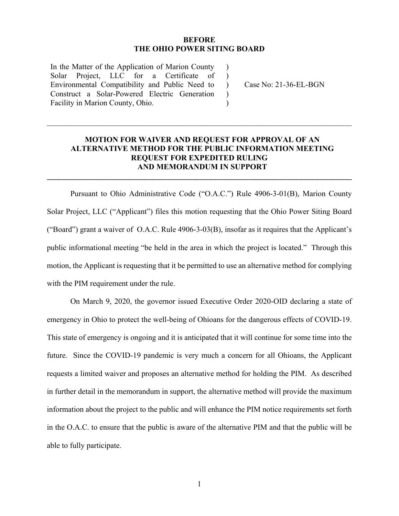### **BEFORE THE OHIO POWER SITING BOARD**

 $\lambda$  $\lambda$ 

 $\lambda$  $\mathcal{L}$ 

In the Matter of the Application of Marion County Solar Project, LLC for a Certificate of Environmental Compatibility and Public Need to Construct a Solar-Powered Electric Generation Facility in Marion County, Ohio.

) Case No: 21-36-EL-BGN

## **MOTION FOR WAIVER AND REQUEST FOR APPROVAL OF AN ALTERNATIVE METHOD FOR THE PUBLIC INFORMATION MEETING REQUEST FOR EXPEDITED RULING AND MEMORANDUM IN SUPPORT**

**\_\_\_\_\_\_\_\_\_\_\_\_\_\_\_\_\_\_\_\_\_\_\_\_\_\_\_\_\_\_\_\_\_\_\_\_\_\_\_\_\_\_\_\_\_\_\_\_\_\_\_\_\_\_\_\_\_\_\_\_\_\_\_\_\_\_\_\_\_\_\_\_\_\_\_\_\_\_** 

 $\_$  , and the set of the set of the set of the set of the set of the set of the set of the set of the set of the set of the set of the set of the set of the set of the set of the set of the set of the set of the set of th

Pursuant to Ohio Administrative Code ("O.A.C.") Rule 4906-3-01(B), Marion County Solar Project, LLC ("Applicant") files this motion requesting that the Ohio Power Siting Board ("Board") grant a waiver of O.A.C. Rule 4906-3-03(B), insofar as it requires that the Applicant's public informational meeting "be held in the area in which the project is located." Through this motion, the Applicant is requesting that it be permitted to use an alternative method for complying with the PIM requirement under the rule.

On March 9, 2020, the governor issued Executive Order 2020-OID declaring a state of emergency in Ohio to protect the well-being of Ohioans for the dangerous effects of COVID-19. This state of emergency is ongoing and it is anticipated that it will continue for some time into the future. Since the COVID-19 pandemic is very much a concern for all Ohioans, the Applicant requests a limited waiver and proposes an alternative method for holding the PIM. As described in further detail in the memorandum in support, the alternative method will provide the maximum information about the project to the public and will enhance the PIM notice requirements set forth in the O.A.C. to ensure that the public is aware of the alternative PIM and that the public will be able to fully participate.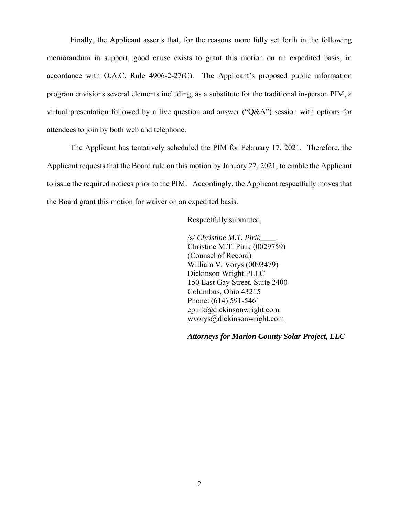Finally, the Applicant asserts that, for the reasons more fully set forth in the following memorandum in support, good cause exists to grant this motion on an expedited basis, in accordance with O.A.C. Rule 4906-2-27(C). The Applicant's proposed public information program envisions several elements including, as a substitute for the traditional in-person PIM, a virtual presentation followed by a live question and answer ("Q&A") session with options for attendees to join by both web and telephone.

The Applicant has tentatively scheduled the PIM for February 17, 2021. Therefore, the Applicant requests that the Board rule on this motion by January 22, 2021, to enable the Applicant to issue the required notices prior to the PIM. Accordingly, the Applicant respectfully moves that the Board grant this motion for waiver on an expedited basis.

Respectfully submitted,

/s/ *Christine M.T. Pirik\_\_\_\_* Christine M.T. Pirik (0029759) (Counsel of Record) William V. Vorys (0093479) Dickinson Wright PLLC 150 East Gay Street, Suite 2400 Columbus, Ohio 43215 Phone: (614) 591-5461 cpirik@dickinsonwright.com wvorys@dickinsonwright.com

*Attorneys for Marion County Solar Project, LLC*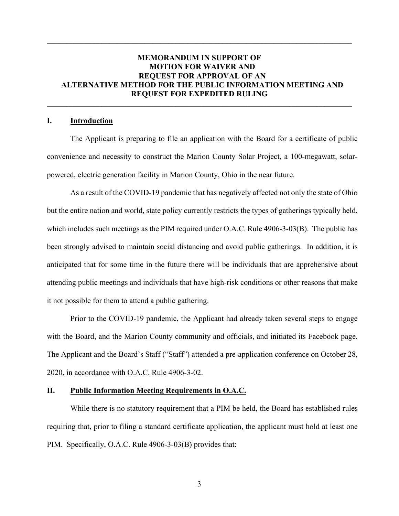## **MEMORANDUM IN SUPPORT OF MOTION FOR WAIVER AND REQUEST FOR APPROVAL OF AN ALTERNATIVE METHOD FOR THE PUBLIC INFORMATION MEETING AND REQUEST FOR EXPEDITED RULING**

**\_\_\_\_\_\_\_\_\_\_\_\_\_\_\_\_\_\_\_\_\_\_\_\_\_\_\_\_\_\_\_\_\_\_\_\_\_\_\_\_\_\_\_\_\_\_\_\_\_\_\_\_\_\_\_\_\_\_\_\_\_\_\_\_\_\_\_\_\_\_\_\_\_\_\_\_\_\_** 

**\_\_\_\_\_\_\_\_\_\_\_\_\_\_\_\_\_\_\_\_\_\_\_\_\_\_\_\_\_\_\_\_\_\_\_\_\_\_\_\_\_\_\_\_\_\_\_\_\_\_\_\_\_\_\_\_\_\_\_\_\_\_\_\_\_\_\_\_\_\_\_\_\_\_\_\_\_\_** 

#### **I. Introduction**

The Applicant is preparing to file an application with the Board for a certificate of public convenience and necessity to construct the Marion County Solar Project, a 100-megawatt, solarpowered, electric generation facility in Marion County, Ohio in the near future.

As a result of the COVID-19 pandemic that has negatively affected not only the state of Ohio but the entire nation and world, state policy currently restricts the types of gatherings typically held, which includes such meetings as the PIM required under O.A.C. Rule 4906-3-03(B). The public has been strongly advised to maintain social distancing and avoid public gatherings. In addition, it is anticipated that for some time in the future there will be individuals that are apprehensive about attending public meetings and individuals that have high-risk conditions or other reasons that make it not possible for them to attend a public gathering.

Prior to the COVID-19 pandemic, the Applicant had already taken several steps to engage with the Board, and the Marion County community and officials, and initiated its Facebook page. The Applicant and the Board's Staff ("Staff") attended a pre-application conference on October 28, 2020, in accordance with O.A.C. Rule 4906-3-02.

#### **II. Public Information Meeting Requirements in O.A.C.**

While there is no statutory requirement that a PIM be held, the Board has established rules requiring that, prior to filing a standard certificate application, the applicant must hold at least one PIM. Specifically, O.A.C. Rule 4906-3-03(B) provides that: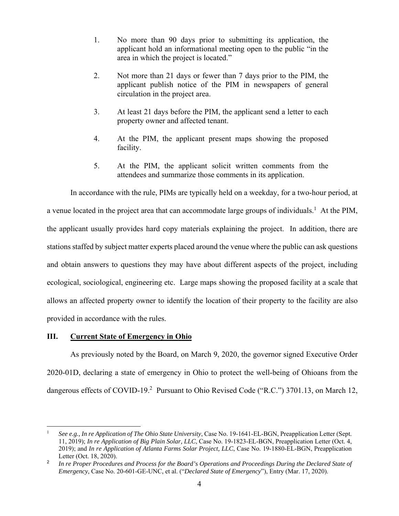- 1. No more than 90 days prior to submitting its application, the applicant hold an informational meeting open to the public "in the area in which the project is located."
- 2. Not more than 21 days or fewer than 7 days prior to the PIM, the applicant publish notice of the PIM in newspapers of general circulation in the project area.
- 3. At least 21 days before the PIM, the applicant send a letter to each property owner and affected tenant.
- 4. At the PIM, the applicant present maps showing the proposed facility.
- 5. At the PIM, the applicant solicit written comments from the attendees and summarize those comments in its application.

In accordance with the rule, PIMs are typically held on a weekday, for a two-hour period, at a venue located in the project area that can accommodate large groups of individuals.<sup>1</sup> At the PIM, the applicant usually provides hard copy materials explaining the project. In addition, there are stations staffed by subject matter experts placed around the venue where the public can ask questions and obtain answers to questions they may have about different aspects of the project, including ecological, sociological, engineering etc. Large maps showing the proposed facility at a scale that allows an affected property owner to identify the location of their property to the facility are also provided in accordance with the rules.

### **III. Current State of Emergency in Ohio**

 $\overline{a}$ 

As previously noted by the Board, on March 9, 2020, the governor signed Executive Order 2020-01D, declaring a state of emergency in Ohio to protect the well-being of Ohioans from the dangerous effects of COVID-19.<sup>2</sup> Pursuant to Ohio Revised Code ("R.C.") 3701.13, on March 12,

<sup>1</sup> *See e.g., In re Application of The Ohio State University*, Case No. 19-1641-EL-BGN, Preapplication Letter (Sept. 11, 2019); *In re Application of Big Plain Solar, LLC*, Case No. 19-1823-EL-BGN, Preapplication Letter (Oct. 4, 2019); and *In re Application of Atlanta Farms Solar Project, LLC*, Case No. 19-1880-EL-BGN, Preapplication Letter (Oct. 18, 2020).

<sup>2</sup> *In re Proper Procedures and Process for the Board's Operations and Proceedings During the Declared State of Emergency*, Case No. 20-601-GE-UNC, et al. ("*Declared State of Emergency*"), Entry (Mar. 17, 2020).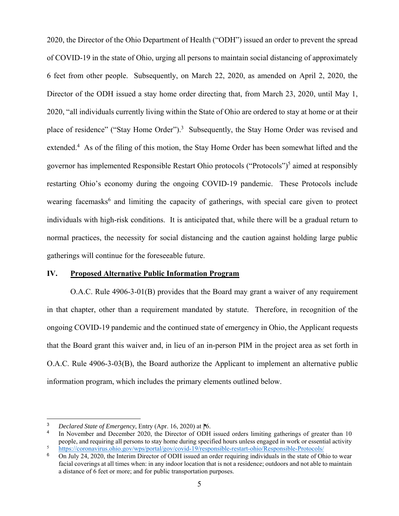2020, the Director of the Ohio Department of Health ("ODH") issued an order to prevent the spread of COVID-19 in the state of Ohio, urging all persons to maintain social distancing of approximately 6 feet from other people. Subsequently, on March 22, 2020, as amended on April 2, 2020, the Director of the ODH issued a stay home order directing that, from March 23, 2020, until May 1, 2020, "all individuals currently living within the State of Ohio are ordered to stay at home or at their place of residence" ("Stay Home Order").<sup>3</sup> Subsequently, the Stay Home Order was revised and extended.<sup>4</sup> As of the filing of this motion, the Stay Home Order has been somewhat lifted and the governor has implemented Responsible Restart Ohio protocols ("Protocols")<sup>5</sup> aimed at responsibly restarting Ohio's economy during the ongoing COVID-19 pandemic. These Protocols include wearing facemasks<sup>6</sup> and limiting the capacity of gatherings, with special care given to protect individuals with high-risk conditions. It is anticipated that, while there will be a gradual return to normal practices, the necessity for social distancing and the caution against holding large public gatherings will continue for the foreseeable future.

### **IV. Proposed Alternative Public Information Program**

O.A.C. Rule 4906-3-01(B) provides that the Board may grant a waiver of any requirement in that chapter, other than a requirement mandated by statute. Therefore, in recognition of the ongoing COVID-19 pandemic and the continued state of emergency in Ohio, the Applicant requests that the Board grant this waiver and, in lieu of an in-person PIM in the project area as set forth in O.A.C. Rule 4906-3-03(B), the Board authorize the Applicant to implement an alternative public information program, which includes the primary elements outlined below.

 $\overline{a}$ 

<sup>&</sup>lt;sup>3</sup> *Declared State of Emergency*, Entry (Apr. 16, 2020) at <sup>16</sup>.<br><sup>4</sup> In November and December 2020, the Director of ODH

In November and December 2020, the Director of ODH issued orders limiting gatherings of greater than 10 people, and requiring all persons to stay home during specified hours unless engaged in work or essential activity 5 https://coronavirus.ohio.gov/wps/portal/gov/covid-19/responsible-restart-ohio/Responsible-Protocols/

<sup>&</sup>lt;sup>6</sup> On July 24, 2020, the Interim Director of ODH issued an order requiring individuals in the state of Ohio to wear facial coverings at all times when: in any indoor location that is not a residence; outdoors and not able to maintain a distance of 6 feet or more; and for public transportation purposes.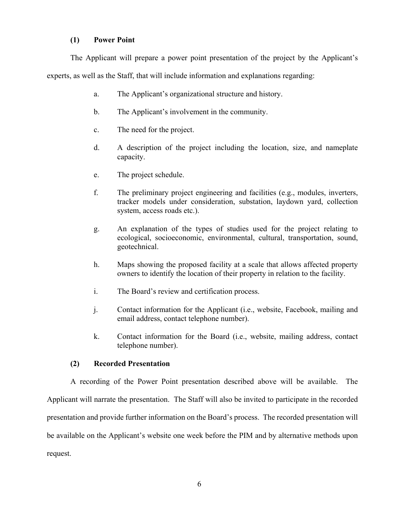### **(1) Power Point**

The Applicant will prepare a power point presentation of the project by the Applicant's experts, as well as the Staff, that will include information and explanations regarding:

- a. The Applicant's organizational structure and history.
- b. The Applicant's involvement in the community.
- c. The need for the project.
- d. A description of the project including the location, size, and nameplate capacity.
- e. The project schedule.
- f. The preliminary project engineering and facilities (e.g., modules, inverters, tracker models under consideration, substation, laydown yard, collection system, access roads etc.).
- g. An explanation of the types of studies used for the project relating to ecological, socioeconomic, environmental, cultural, transportation, sound, geotechnical.
- h. Maps showing the proposed facility at a scale that allows affected property owners to identify the location of their property in relation to the facility.
- i. The Board's review and certification process.
- j. Contact information for the Applicant (i.e., website, Facebook, mailing and email address, contact telephone number).
- k. Contact information for the Board (i.e., website, mailing address, contact telephone number).

### **(2) Recorded Presentation**

A recording of the Power Point presentation described above will be available. The Applicant will narrate the presentation. The Staff will also be invited to participate in the recorded presentation and provide further information on the Board's process. The recorded presentation will be available on the Applicant's website one week before the PIM and by alternative methods upon request.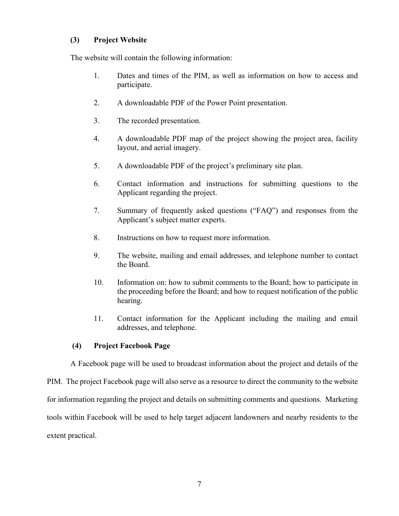## **(3) Project Website**

The website will contain the following information:

- 1. Dates and times of the PIM, as well as information on how to access and participate.
- 2. A downloadable PDF of the Power Point presentation.
- 3. The recorded presentation.
- 4. A downloadable PDF map of the project showing the project area, facility layout, and aerial imagery.
- 5. A downloadable PDF of the project's preliminary site plan.
- 6. Contact information and instructions for submitting questions to the Applicant regarding the project.
- 7. Summary of frequently asked questions ("FAQ") and responses from the Applicant's subject matter experts.
- 8. Instructions on how to request more information.
- 9. The website, mailing and email addresses, and telephone number to contact the Board.
- 10. Information on: how to submit comments to the Board; how to participate in the proceeding before the Board; and how to request notification of the public hearing.
- 11. Contact information for the Applicant including the mailing and email addresses, and telephone.

# **(4) Project Facebook Page**

A Facebook page will be used to broadcast information about the project and details of the

PIM. The project Facebook page will also serve as a resource to direct the community to the website for information regarding the project and details on submitting comments and questions. Marketing tools within Facebook will be used to help target adjacent landowners and nearby residents to the extent practical.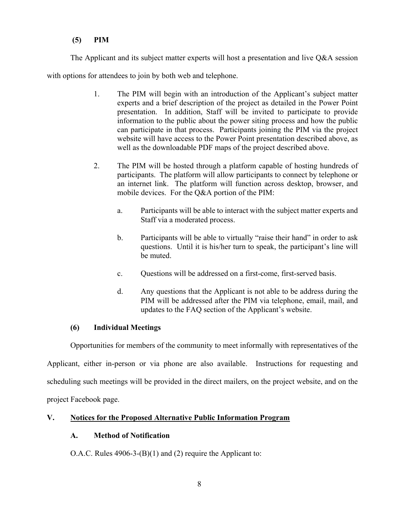# **(5) PIM**

The Applicant and its subject matter experts will host a presentation and live Q&A session

with options for attendees to join by both web and telephone.

- 1. The PIM will begin with an introduction of the Applicant's subject matter experts and a brief description of the project as detailed in the Power Point presentation. In addition, Staff will be invited to participate to provide information to the public about the power siting process and how the public can participate in that process. Participants joining the PIM via the project website will have access to the Power Point presentation described above, as well as the downloadable PDF maps of the project described above.
- 2. The PIM will be hosted through a platform capable of hosting hundreds of participants. The platform will allow participants to connect by telephone or an internet link. The platform will function across desktop, browser, and mobile devices. For the Q&A portion of the PIM:
	- a. Participants will be able to interact with the subject matter experts and Staff via a moderated process.
	- b. Participants will be able to virtually "raise their hand" in order to ask questions. Until it is his/her turn to speak, the participant's line will be muted.
	- c. Questions will be addressed on a first-come, first-served basis.
	- d. Any questions that the Applicant is not able to be address during the PIM will be addressed after the PIM via telephone, email, mail, and updates to the FAQ section of the Applicant's website.

# **(6) Individual Meetings**

Opportunities for members of the community to meet informally with representatives of the

Applicant, either in-person or via phone are also available. Instructions for requesting and scheduling such meetings will be provided in the direct mailers, on the project website, and on the project Facebook page.

# **V. Notices for the Proposed Alternative Public Information Program**

# **A. Method of Notification**

O.A.C. Rules 4906-3-(B)(1) and (2) require the Applicant to: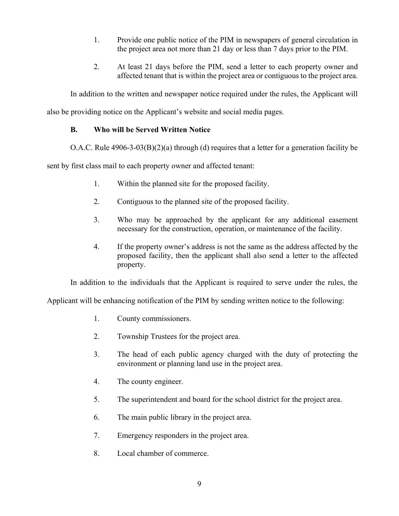- 1. Provide one public notice of the PIM in newspapers of general circulation in the project area not more than 21 day or less than 7 days prior to the PIM.
- 2. At least 21 days before the PIM, send a letter to each property owner and affected tenant that is within the project area or contiguous to the project area.

In addition to the written and newspaper notice required under the rules, the Applicant will

also be providing notice on the Applicant's website and social media pages.

# **B. Who will be Served Written Notice**

O.A.C. Rule  $4906-3-03(B)(2)(a)$  through (d) requires that a letter for a generation facility be

sent by first class mail to each property owner and affected tenant:

- 1. Within the planned site for the proposed facility.
- 2. Contiguous to the planned site of the proposed facility.
- 3. Who may be approached by the applicant for any additional easement necessary for the construction, operation, or maintenance of the facility.
- 4. If the property owner's address is not the same as the address affected by the proposed facility, then the applicant shall also send a letter to the affected property.

In addition to the individuals that the Applicant is required to serve under the rules, the

Applicant will be enhancing notification of the PIM by sending written notice to the following:

- 1. County commissioners.
- 2. Township Trustees for the project area.
- 3. The head of each public agency charged with the duty of protecting the environment or planning land use in the project area.
- 4. The county engineer.
- 5. The superintendent and board for the school district for the project area.
- 6. The main public library in the project area.
- 7. Emergency responders in the project area.
- 8. Local chamber of commerce.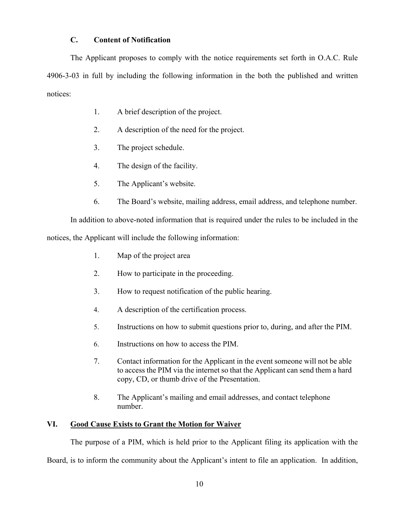## **C. Content of Notification**

The Applicant proposes to comply with the notice requirements set forth in O.A.C. Rule 4906-3-03 in full by including the following information in the both the published and written notices:

- 1. A brief description of the project.
- 2. A description of the need for the project.
- 3. The project schedule.
- 4. The design of the facility.
- 5. The Applicant's website.
- 6. The Board's website, mailing address, email address, and telephone number.

In addition to above-noted information that is required under the rules to be included in the notices, the Applicant will include the following information:

- 1. Map of the project area
- 2. How to participate in the proceeding.
- 3. How to request notification of the public hearing.
- 4. A description of the certification process.
- 5. Instructions on how to submit questions prior to, during, and after the PIM.
- 6. Instructions on how to access the PIM.
- 7. Contact information for the Applicant in the event someone will not be able to access the PIM via the internet so that the Applicant can send them a hard copy, CD, or thumb drive of the Presentation.
- 8. The Applicant's mailing and email addresses, and contact telephone number.

## **VI. Good Cause Exists to Grant the Motion for Waiver**

The purpose of a PIM, which is held prior to the Applicant filing its application with the Board, is to inform the community about the Applicant's intent to file an application. In addition,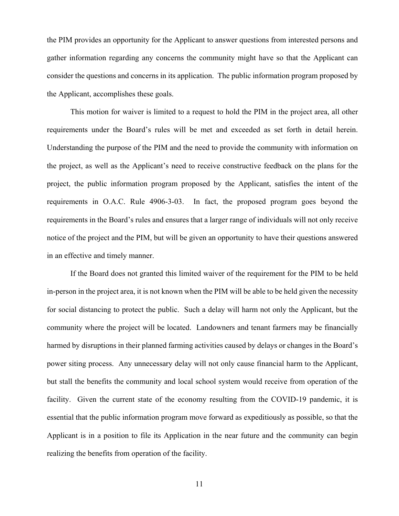the PIM provides an opportunity for the Applicant to answer questions from interested persons and gather information regarding any concerns the community might have so that the Applicant can consider the questions and concerns in its application. The public information program proposed by the Applicant, accomplishes these goals.

This motion for waiver is limited to a request to hold the PIM in the project area, all other requirements under the Board's rules will be met and exceeded as set forth in detail herein. Understanding the purpose of the PIM and the need to provide the community with information on the project, as well as the Applicant's need to receive constructive feedback on the plans for the project, the public information program proposed by the Applicant, satisfies the intent of the requirements in O.A.C. Rule 4906-3-03. In fact, the proposed program goes beyond the requirements in the Board's rules and ensures that a larger range of individuals will not only receive notice of the project and the PIM, but will be given an opportunity to have their questions answered in an effective and timely manner.

If the Board does not granted this limited waiver of the requirement for the PIM to be held in-person in the project area, it is not known when the PIM will be able to be held given the necessity for social distancing to protect the public. Such a delay will harm not only the Applicant, but the community where the project will be located. Landowners and tenant farmers may be financially harmed by disruptions in their planned farming activities caused by delays or changes in the Board's power siting process. Any unnecessary delay will not only cause financial harm to the Applicant, but stall the benefits the community and local school system would receive from operation of the facility. Given the current state of the economy resulting from the COVID-19 pandemic, it is essential that the public information program move forward as expeditiously as possible, so that the Applicant is in a position to file its Application in the near future and the community can begin realizing the benefits from operation of the facility.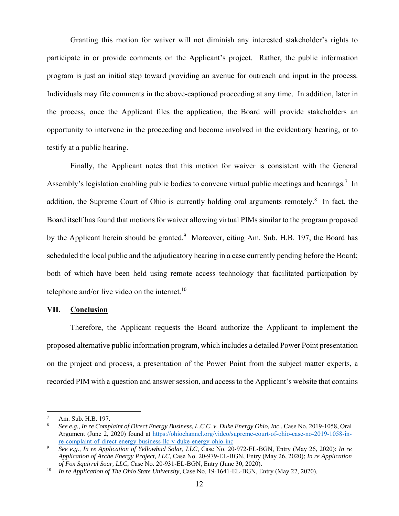Granting this motion for waiver will not diminish any interested stakeholder's rights to participate in or provide comments on the Applicant's project. Rather, the public information program is just an initial step toward providing an avenue for outreach and input in the process. Individuals may file comments in the above-captioned proceeding at any time. In addition, later in the process, once the Applicant files the application, the Board will provide stakeholders an opportunity to intervene in the proceeding and become involved in the evidentiary hearing, or to testify at a public hearing.

Finally, the Applicant notes that this motion for waiver is consistent with the General Assembly's legislation enabling public bodies to convene virtual public meetings and hearings.<sup>7</sup> In addition, the Supreme Court of Ohio is currently holding oral arguments remotely.<sup>8</sup> In fact, the Board itself has found that motions for waiver allowing virtual PIMs similar to the program proposed by the Applicant herein should be granted.<sup>9</sup> Moreover, citing Am. Sub. H.B. 197, the Board has scheduled the local public and the adjudicatory hearing in a case currently pending before the Board; both of which have been held using remote access technology that facilitated participation by telephone and/or live video on the internet. $10$ 

#### **VII. Conclusion**

Therefore, the Applicant requests the Board authorize the Applicant to implement the proposed alternative public information program, which includes a detailed Power Point presentation on the project and process, a presentation of the Power Point from the subject matter experts, a recorded PIM with a question and answer session, and access to the Applicant's website that contains

 $\overline{a}$ 

<sup>7</sup> Am. Sub. H.B. 197.

<sup>8</sup> *See e.g., In re Complaint of Direct Energy Business, L.C.C. v. Duke Energy Ohio, Inc*., Case No. 2019-1058, Oral Argument (June 2, 2020) found at https://ohiochannel.org/video/supreme-court-of-ohio-case-no-2019-1058-inre-complaint-of-direct-energy-business-llc-v-duke-energy-ohio-inc

<sup>9</sup> *See e.g., In re Application of Yellowbud Solar, LLC*, Case No. 20-972-EL-BGN, Entry (May 26, 2020); *In re Application of Arche Energy Project, LLC*, Case No. 20-979-EL-BGN, Entry (May 26, 2020); *In re Application of Fox Squirrel Soar, LLC*, Case No. 20-931-EL-BGN, Entry (June 30, 2020).

<sup>10</sup> *In re Application of The Ohio State University*, Case No. 19-1641-EL-BGN, Entry (May 22, 2020).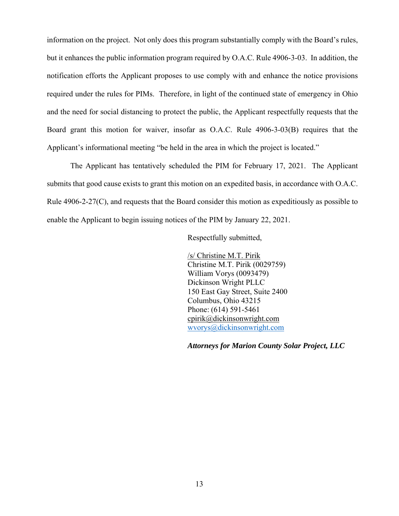information on the project. Not only does this program substantially comply with the Board's rules, but it enhances the public information program required by O.A.C. Rule 4906-3-03. In addition, the notification efforts the Applicant proposes to use comply with and enhance the notice provisions required under the rules for PIMs. Therefore, in light of the continued state of emergency in Ohio and the need for social distancing to protect the public, the Applicant respectfully requests that the Board grant this motion for waiver, insofar as O.A.C. Rule 4906-3-03(B) requires that the Applicant's informational meeting "be held in the area in which the project is located."

The Applicant has tentatively scheduled the PIM for February 17, 2021. The Applicant submits that good cause exists to grant this motion on an expedited basis, in accordance with O.A.C. Rule 4906-2-27(C), and requests that the Board consider this motion as expeditiously as possible to enable the Applicant to begin issuing notices of the PIM by January 22, 2021.

Respectfully submitted,

/s/ Christine M.T. Pirik Christine M.T. Pirik (0029759) William Vorys (0093479) Dickinson Wright PLLC 150 East Gay Street, Suite 2400 Columbus, Ohio 43215 Phone: (614) 591-5461 cpirik@dickinsonwright.com wvorys@dickinsonwright.com

*Attorneys for Marion County Solar Project, LLC*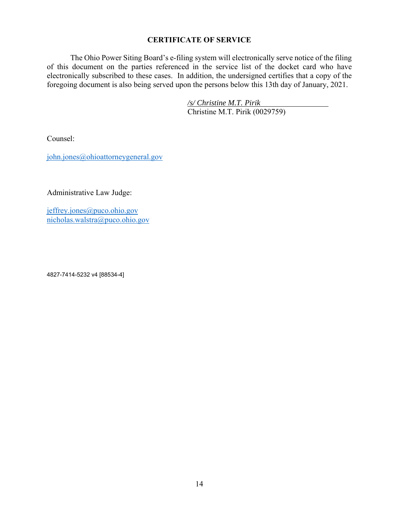## **CERTIFICATE OF SERVICE**

The Ohio Power Siting Board's e-filing system will electronically serve notice of the filing of this document on the parties referenced in the service list of the docket card who have electronically subscribed to these cases. In addition, the undersigned certifies that a copy of the foregoing document is also being served upon the persons below this 13th day of January, 2021.

> */s/ Christine M.T. Pirik*  Christine M.T. Pirik (0029759)

Counsel:

john.jones@ohioattorneygeneral.gov

Administrative Law Judge:

jeffrey.jones@puco.ohio.gov nicholas.walstra@puco.ohio.gov

4827-7414-5232 v4 [88534-4]